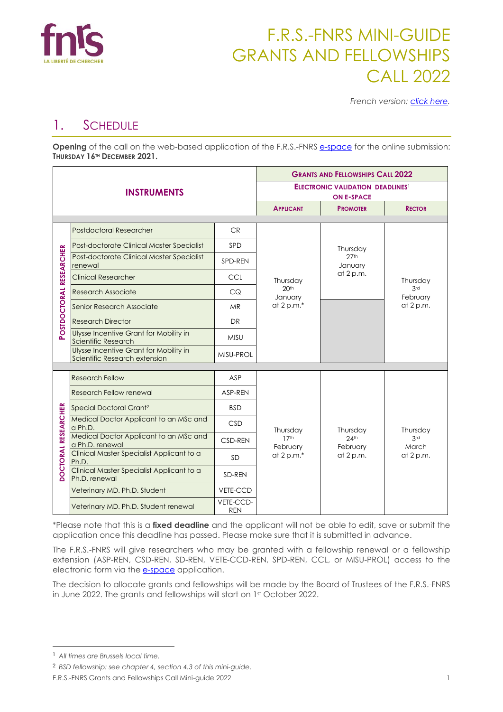

# F.R.S.-FNRS MINI-GUIDE GRANTS AND FELLOWSHIPS CALL 2022

*French version: [click here.](https://www.frs-fnrs.be/docs/Reglement-et-documents/FRS-FNRS_Mini-guide_2022_FR.pdf)*

### 1. SCHEDULE

**Opening** of the call on the web-based application of the F.R.S.-FNRS [e-space](https://e-space.frs-fnrs.be/) for the online submission: **THURSDAY 16TH DECEMBER 2021.**

|                         |                                                                         | <b>GRANTS AND FELLOWSHIPS CALL 2022</b>                      |                              |                                                      |                                          |
|-------------------------|-------------------------------------------------------------------------|--------------------------------------------------------------|------------------------------|------------------------------------------------------|------------------------------------------|
|                         | <b>INSTRUMENTS</b>                                                      | <b>ELECTRONIC VALIDATION DEADLINES!</b><br><b>ON E-SPACE</b> |                              |                                                      |                                          |
|                         |                                                                         |                                                              | <b>APPLICANT</b>             | <b>PROMOTER</b>                                      | <b>RECTOR</b>                            |
|                         | <b>Postdoctoral Researcher</b>                                          | <b>CR</b>                                                    |                              | Thursday<br>27 <sup>th</sup><br>January<br>at 2 p.m. | Thursday<br>3rd<br>February<br>at 2 p.m. |
|                         | Post-doctorate Clinical Master Specialist                               | SPD                                                          |                              |                                                      |                                          |
|                         | Post-doctorate Clinical Master Specialist<br>renewal                    | SPD-REN                                                      |                              |                                                      |                                          |
|                         | <b>Clinical Researcher</b>                                              | CCL                                                          | Thursday                     |                                                      |                                          |
|                         | <b>Research Associate</b>                                               | CQ                                                           | 20 <sup>th</sup><br>January  |                                                      |                                          |
|                         | Senior Research Associate                                               | <b>MR</b>                                                    | at $2 p.m.*$                 |                                                      |                                          |
| POSTDOCTORAL RESEARCHER | <b>Research Director</b>                                                | DR                                                           |                              |                                                      |                                          |
|                         | Ulysse Incentive Grant for Mobility in<br>Scientific Research           | <b>MISU</b>                                                  |                              |                                                      |                                          |
|                         | Ulysse Incentive Grant for Mobility in<br>Scientific Research extension | MISU-PROL                                                    |                              |                                                      |                                          |
|                         |                                                                         |                                                              |                              |                                                      |                                          |
|                         | <b>Research Fellow</b>                                                  | ASP                                                          |                              |                                                      | Thursday<br>3rd<br>March<br>at 2 p.m.    |
|                         | Research Fellow renewal                                                 | ASP-REN                                                      |                              |                                                      |                                          |
|                         | Special Doctoral Grant <sup>2</sup>                                     | <b>BSD</b>                                                   |                              |                                                      |                                          |
|                         | Medical Doctor Applicant to an MSc and<br>a Ph.D.                       | <b>CSD</b>                                                   | Thursday                     | Thursday<br>$24$ th<br>February<br>at 2 p.m.         |                                          |
|                         | Medical Doctor Applicant to an MSc and<br>a Ph.D. renewal               | CSD-REN                                                      | 17 <sup>th</sup><br>February |                                                      |                                          |
| DOCTORAL RESEARCHER     | Clinical Master Specialist Applicant to a<br>Ph.D.                      | <b>SD</b>                                                    | at 2 p.m.*                   |                                                      |                                          |
|                         | Clinical Master Specialist Applicant to a<br>Ph.D. renewal              | SD-REN                                                       |                              |                                                      |                                          |
|                         | Veterinary MD. Ph.D. Student                                            | VETE-CCD                                                     |                              |                                                      |                                          |
|                         | Veterinary MD. Ph.D. Student renewal                                    | VETE-CCD-<br><b>REN</b>                                      |                              |                                                      |                                          |

\*Please note that this is a **fixed deadline** and the applicant will not be able to edit, save or submit the application once this deadline has passed. Please make sure that it is submitted in advance.

The F.R.S.-FNRS will give researchers who may be granted with a fellowship renewal or a fellowship extension (ASP-REN, CSD-REN, SD-REN, VETE-CCD-REN, SPD-REN, CCL, or MISU-PROL) access to the electronic form via the [e-space](https://e-space.frs-fnrs.be/) application.

The decision to allocate grants and fellowships will be made by the Board of Trustees of the F.R.S.-FNRS in June 2022. The grants and fellowships will start on 1st October 2022.

<sup>1</sup> *All times are Brussels local time.*

<sup>2</sup> *BSD fellowship: see chapter 4, section 4.3 of this mini-guide*.

F.R.S.-FNRS Grants and Fellowships Call Mini-guide 2022 1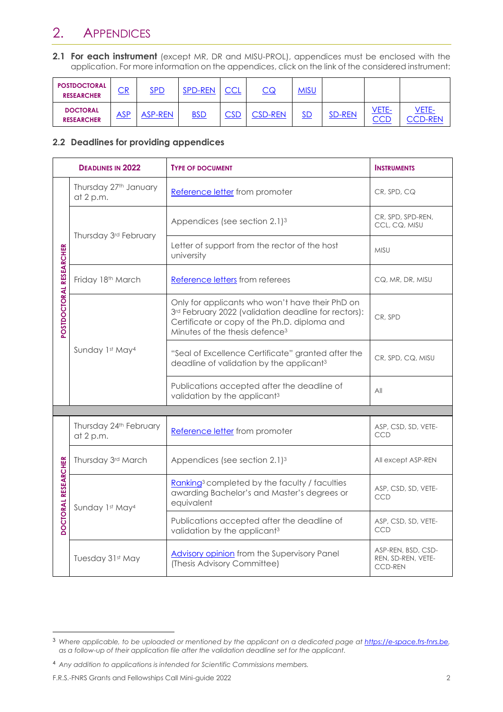## 2. APPENDICES

**2.1 For each instrument** (except MR, DR and MISU-PROL), appendices must be enclosed with the application. For more information on the appendices, click on the link of the considered instrument:

| <b>POSTDOCTORAL</b><br><b>RESEARCHER</b> | $\overline{\text{CR}}$ | <b>SPD</b>     | <b>SPD-REN</b> | <b>CCL</b>     |                | MISU |               |                     |                         |
|------------------------------------------|------------------------|----------------|----------------|----------------|----------------|------|---------------|---------------------|-------------------------|
| <b>DOCTORAL</b><br><b>RESEARCHER</b>     | ASP                    | <b>ASP-REN</b> | <b>BSD</b>     | $\mathsf{CSD}$ | <b>CSD-REN</b> | SD   | <b>SD-REN</b> | VETE-<br><b>CCD</b> | VETE-<br><b>CCD-REN</b> |

#### **2.2 Deadlines for providing appendices**

|                           | <b>DEADLINES IN 2022</b>            | <b>TYPE OF DOCUMENT</b>                                                                                                                                                                               | <b>INSTRUMENTS</b>                                         |
|---------------------------|-------------------------------------|-------------------------------------------------------------------------------------------------------------------------------------------------------------------------------------------------------|------------------------------------------------------------|
|                           | Thursday 27th January<br>at 2 p.m.  | Reference letter from promoter                                                                                                                                                                        |                                                            |
|                           |                                     | Appendices (see section 2.1) <sup>3</sup>                                                                                                                                                             | CR, SPD, SPD-REN,<br>CCL, CQ, MISU                         |
|                           | Thursday 3rd February               | Letter of support from the rector of the host<br>university                                                                                                                                           | <b>MISU</b>                                                |
|                           | Friday 18th March                   | Reference letters from referees                                                                                                                                                                       | CQ, MR, DR, MISU                                           |
| POSTDOCTORAL RESEARCHER   |                                     | Only for applicants who won't have their PhD on<br>3rd February 2022 (validation deadline for rectors):<br>Certificate or copy of the Ph.D. diploma and<br>Minutes of the thesis defence <sup>3</sup> | CR. SPD                                                    |
|                           | Sunday 1st May4                     | "Seal of Excellence Certificate" granted after the<br>deadline of validation by the applicant <sup>3</sup>                                                                                            | CR, SPD, CQ, MISU                                          |
|                           |                                     | Publications accepted after the deadline of<br>validation by the applicant <sup>3</sup>                                                                                                               | All                                                        |
|                           |                                     |                                                                                                                                                                                                       |                                                            |
|                           | Thursday 24th February<br>at 2 p.m. | Reference letter from promoter                                                                                                                                                                        | ASP, CSD, SD, VETE-<br><b>CCD</b>                          |
|                           | Thursday 3rd March                  | Appendices (see section 2.1) <sup>3</sup>                                                                                                                                                             | All except ASP-REN                                         |
| <b>OCTORAL RESEARCHER</b> | Sunday 1st May4                     | Ranking <sup>3</sup> completed by the faculty / faculties<br>awarding Bachelor's and Master's degrees or<br>equivalent                                                                                | ASP, CSD, SD, VETE-<br>CCD                                 |
|                           |                                     | Publications accepted after the deadline of<br>validation by the applicant <sup>3</sup>                                                                                                               | ASP, CSD, SD, VETE-<br><b>CCD</b>                          |
|                           | Tuesday 31st May                    | <b>Advisory opinion</b> from the Supervisory Panel<br>(Thesis Advisory Committee)                                                                                                                     | ASP-REN, BSD, CSD-<br>REN, SD-REN, VETE-<br><b>CCD-REN</b> |

<sup>3</sup> *Where applicable, to be uploaded or mentioned by the applicant on a dedicated page a[t https://e-space.frs-fnrs.be,](https://e-space.frs-fnrs.be/) as a follow-up of their application file after the validation deadline set for the applicant.*

<sup>4</sup> *Any addition to applications is intended for Scientific Commissions members.*

F.R.S.-FNRS Grants and Fellowships Call Mini-guide 2022 2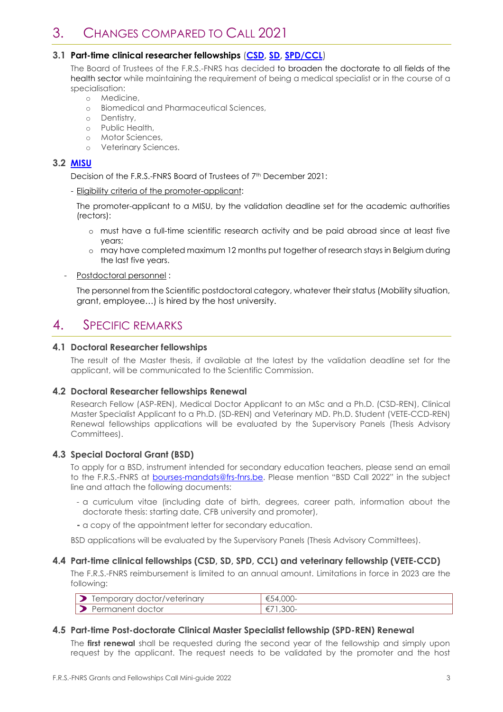### 3. CHANGES COMPARED TO CALL 2021

#### **3.1 Part-time clinical researcher fellowships** (**[CSD,](https://www.frs-fnrs.be/docs/Reglement-et-documents/FRS-FNRS_REGL_CSD_EN.pdf) [SD,](https://www.frs-fnrs.be/docs/Reglement-et-documents/FRS-FNRS_REGL_SD_EN.pdf) [SPD/CCL](https://www.frs-fnrs.be/docs/Reglement-et-documents/FRS-FNRS_REGL_SPD_CCL_EN.pdf)**)

The Board of Trustees of the F.R.S.-FNRS has decided to broaden the doctorate to all fields of the health sector while maintaining the requirement of being a medical specialist or in the course of a specialisation:

- o Medicine,
- o Biomedical and Pharmaceutical Sciences,
- o Dentistry,
- o Public Health,
- o Motor Sciences,
- o Veterinary Sciences.

#### **3.2 [MISU](https://www.frs-fnrs.be/docs/Reglement-et-documents/FRS-FNRS_REGL_MISU_EN.pdf)**

Decision of the F.R.S.-FNRS Board of Trustees of 7<sup>th</sup> December 2021:

- Eligibility criteria of the promoter-applicant:

The promoter-applicant to a MISU, by the validation deadline set for the academic authorities (rectors):

- o must have a full-time scientific research activity and be paid abroad since at least five years;
- o may have completed maximum 12 months put together of research stays in Belgium during the last five years.
- Postdoctoral personnel :

The personnel from the Scientific postdoctoral category, whatever their status (Mobility situation, grant, employee…) is hired by the host university.

### 4. SPECIFIC REMARKS

#### **4.1 Doctoral Researcher fellowships**

The result of the Master thesis, if available at the latest by the validation deadline set for the applicant, will be communicated to the Scientific Commission.

#### **4.2 Doctoral Researcher fellowships Renewal**

Research Fellow (ASP-REN), Medical Doctor Applicant to an MSc and a Ph.D. (CSD-REN), Clinical Master Specialist Applicant to a Ph.D. (SD-REN) and Veterinary MD. Ph.D. Student (VETE-CCD-REN) Renewal fellowships applications will be evaluated by the Supervisory Panels (Thesis Advisory Committees).

#### **4.3 Special Doctoral Grant (BSD)**

To apply for a BSD, instrument intended for secondary education teachers, please send an email to the F.R.S.-FNRS at [bourses-mandats@frs-fnrs.be](mailto:bourses-mandats@frs-fnrs.be). Please mention "BSD Call 2022" in the subject line and attach the following documents:

- a curriculum vitae (including date of birth, degrees, career path, information about the doctorate thesis: starting date, CFB university and promoter),
- **-** a copy of the appointment letter for secondary education.

BSD applications will be evaluated by the Supervisory Panels (Thesis Advisory Committees).

#### **4.4 Part-time clinical fellowships (CSD, SD, SPD, CCL) and veterinary fellowship (VETE-CCD)**

The F.R.S.-FNRS reimbursement is limited to an annual amount. Limitations in force in 2023 are the following:

|      | doctor/veterinary<br>orary.<br>lempord<br>◡ | $\sim$ $\sim$ $\sim$<br>٦4<br>4.UUU<br>w |
|------|---------------------------------------------|------------------------------------------|
| Pen. | it doctor<br>nanen                          | £                                        |

#### **4.5 Part-time Post-doctorate Clinical Master Specialist fellowship (SPD-REN) Renewal**

The **first renewal** shall be requested during the second year of the fellowship and simply upon request by the applicant. The request needs to be validated by the promoter and the host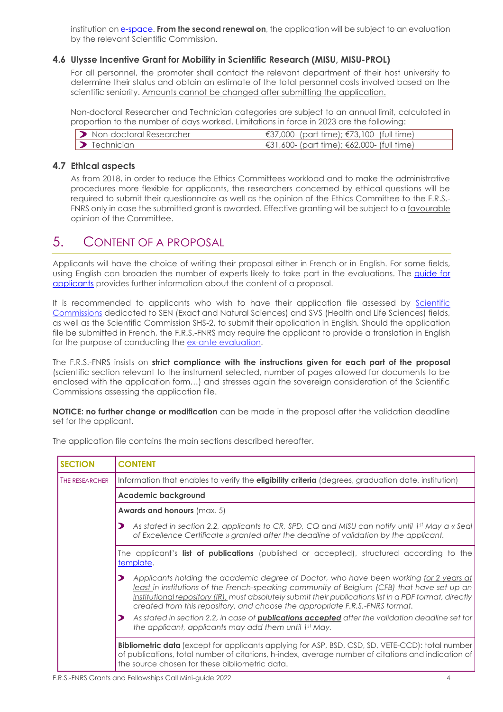institution on **e-space. From the second renewal on**, the application will be subject to an evaluation by the relevant Scientific Commission.

#### **4.6 Ulysse Incentive Grant for Mobility in Scientific Research (MISU, MISU-PROL)**

For all personnel, the promoter shall contact the relevant department of their host university to determine their status and obtain an estimate of the total personnel costs involved based on the scientific seniority. Amounts cannot be changed after submitting the application.

Non-doctoral Researcher and Technician categories are subject to an annual limit, calculated in proportion to the number of days worked. Limitations in force in 2023 are the following:

| <b>D</b> Non-doctoral Researcher | €37,000- (part time); $€73,100$ - (full time)        |
|----------------------------------|------------------------------------------------------|
| $\triangleright$ Technician      | $\sqrt{631,600}$ - (part time); €62,000- (full time) |

#### **4.7 Ethical aspects**

As from 2018, in order to reduce the Ethics Committees workload and to make the administrative procedures more flexible for applicants, the researchers concerned by ethical questions will be required to submit their questionnaire as well as the opinion of the Ethics Committee to the F.R.S.- FNRS only in case the submitted grant is awarded. Effective granting will be subject to a favourable opinion of the Committee.

### 5. CONTENT OF A PROPOSAL

Applicants will have the choice of writing their proposal either in French or in English. For some fields, using English can broaden the number of experts likely to take part in the evaluations. The guide for [applicants](https://www.frs-fnrs.be/docs/Reglement-et-documents/FRS-FNRS_Guide_proposant_2022_EN.pdf) provides further information about the content of a proposal.

It is recommended to applicants who wish to have their application file assessed by [Scientific](https://www.frs-fnrs.be/docs/Reglement-et-documents/FRS-FNRS_Champs_descripteurs.pdf)  [Commissions](https://www.frs-fnrs.be/docs/Reglement-et-documents/FRS-FNRS_Champs_descripteurs.pdf) dedicated to SEN (Exact and Natural Sciences) and SVS (Health and Life Sciences) fields, as well as the Scientific Commission SHS-2, to submit their application in English*.* Should the application file be submitted in French, the F.R.S.-FNRS may require the applicant to provide a translation in English for the purpose of conducting the [ex-ante evaluation.](https://www.frs-fnrs.be/docs/Reglement-et-documents/FRS-FNRS_Guide_Evaluation_EN.pdf)

The F.R.S.-FNRS insists on **strict compliance with the instructions given for each part of the proposal** (scientific section relevant to the instrument selected, number of pages allowed for documents to be enclosed with the application form…) and stresses again the sovereign consideration of the Scientific Commissions assessing the application file.

**NOTICE: no further change or modification** can be made in the proposal after the validation deadline set for the applicant.

| <b>SECTION</b> | <b>CONTENT</b>                                                                                                                                                                                                                                                                                                                                                                   |  |  |  |  |
|----------------|----------------------------------------------------------------------------------------------------------------------------------------------------------------------------------------------------------------------------------------------------------------------------------------------------------------------------------------------------------------------------------|--|--|--|--|
| THE RESEARCHER | Information that enables to verify the <b>eligibility criteria</b> (degrees, graduation date, institution)                                                                                                                                                                                                                                                                       |  |  |  |  |
|                | <b>Academic background</b>                                                                                                                                                                                                                                                                                                                                                       |  |  |  |  |
|                | <b>Awards and honours (max. 5)</b>                                                                                                                                                                                                                                                                                                                                               |  |  |  |  |
|                | As stated in section 2.2, applicants to CR, SPD, CQ and MISU can notify until 1st May a « Seal)<br>of Excellence Certificate » granted after the deadline of validation by the applicant.                                                                                                                                                                                        |  |  |  |  |
|                | The applicant's list of publications (published or accepted), structured according to the<br>template.                                                                                                                                                                                                                                                                           |  |  |  |  |
|                | Applicants holding the academic degree of Doctor, who have been working for 2 years at<br>least in institutions of the French-speaking community of Belgium (CFB) that have set up an<br>institutional repository (IR), must absolutely submit their publications list in a PDF format, directly<br>created from this repository, and choose the appropriate F.R.S.-FNRS format. |  |  |  |  |
|                | As stated in section 2.2, in case of <b>publications accepted</b> after the validation deadline set for<br>the applicant, applicants may add them until 1st May.                                                                                                                                                                                                                 |  |  |  |  |
|                | <b>Bibliometric data</b> (except for applicants applying for ASP, BSD, CSD, SD, VETE-CCD): total number<br>of publications, total number of citations, h-index, average number of citations and indication of<br>the source chosen for these bibliometric data.                                                                                                                  |  |  |  |  |

The application file contains the main sections described hereafter.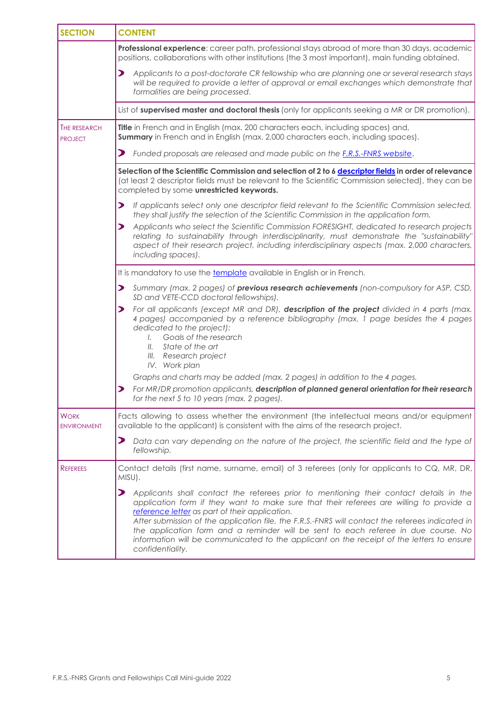| <b>SECTION</b>                        | <b>CONTENT</b>                                                                                                                                                                                                                                                                                                                                                                                                                                                                                                                                                          |
|---------------------------------------|-------------------------------------------------------------------------------------------------------------------------------------------------------------------------------------------------------------------------------------------------------------------------------------------------------------------------------------------------------------------------------------------------------------------------------------------------------------------------------------------------------------------------------------------------------------------------|
|                                       | Professional experience: career path, professional stays abroad of more than 30 days, academic<br>positions, collaborations with other institutions (the 3 most important), main funding obtained.                                                                                                                                                                                                                                                                                                                                                                      |
|                                       | Applicants to a post-doctorate CR fellowship who are planning one or several research stays<br>⋗<br>will be required to provide a letter of approval or email exchanges which demonstrate that<br>formalities are being processed.                                                                                                                                                                                                                                                                                                                                      |
|                                       | List of supervised master and doctoral thesis (only for applicants seeking a MR or DR promotion).                                                                                                                                                                                                                                                                                                                                                                                                                                                                       |
| <b>THE RESEARCH</b><br><b>PROJECT</b> | Title in French and in English (max. 200 characters each, including spaces) and,<br><b>Summary</b> in French and in English (max. 2,000 characters each, including spaces).                                                                                                                                                                                                                                                                                                                                                                                             |
|                                       | ⋗<br>Funded proposals are released and made public on the <b>F.R.S.-FNRS website.</b>                                                                                                                                                                                                                                                                                                                                                                                                                                                                                   |
|                                       | Selection of the Scientific Commission and selection of 2 to 6 descriptor fields in order of relevance<br>(at least 2 descriptor fields must be relevant to the Scientific Commission selected), they can be<br>completed by some unrestricted keywords.                                                                                                                                                                                                                                                                                                                |
|                                       | If applicants select only one descriptor field relevant to the Scientific Commission selected,<br>$\blacktriangleright$<br>they shall justify the selection of the Scientific Commission in the application form.<br>Applicants who select the Scientific Commission FORESIGHT, dedicated to research projects<br>$\blacktriangleright$<br>relating to sustainability through interdisciplinarity, must demonstrate the "sustainability"<br>aspect of their research project, including interdisciplinary aspects (max. 2,000 characters,<br>including spaces).         |
|                                       | It is mandatory to use the template available in English or in French.                                                                                                                                                                                                                                                                                                                                                                                                                                                                                                  |
|                                       | $\blacktriangleright$<br>Summary (max. 2 pages) of previous research achievements (non-compulsory for ASP, CSD,<br>SD and VETE-CCD doctoral fellowships).                                                                                                                                                                                                                                                                                                                                                                                                               |
|                                       | For all applicants (except MR and DR), description of the project divided in 4 parts (max.<br>⋗<br>4 pages) accompanied by a reference bibliography (max. 1 page besides the 4 pages<br>dedicated to the project):<br>Goals of the research<br>$\mathcal{L}$<br>State of the art<br>II.<br>III. Research project<br>IV. Work plan                                                                                                                                                                                                                                       |
|                                       | Graphs and charts may be added (max. 2 pages) in addition to the 4 pages.<br>For MR/DR promotion applicants, description of planned general orientation for their research<br>⋗                                                                                                                                                                                                                                                                                                                                                                                         |
|                                       | for the next 5 to 10 years (max. 2 pages).                                                                                                                                                                                                                                                                                                                                                                                                                                                                                                                              |
| <b>WORK</b><br><b>ENVIRONMENT</b>     | Facts allowing to assess whether the environment (the intellectual means and/or equipment<br>available to the applicant) is consistent with the aims of the research project.                                                                                                                                                                                                                                                                                                                                                                                           |
|                                       | ⋗<br>Data can vary depending on the nature of the project, the scientific field and the type of<br>fellowship.                                                                                                                                                                                                                                                                                                                                                                                                                                                          |
| <b>REFEREES</b>                       | Contact details (first name, surname, email) of 3 referees (only for applicants to CQ, MR, DR,<br>MISU).                                                                                                                                                                                                                                                                                                                                                                                                                                                                |
|                                       | $\blacktriangleright$<br>Applicants shall contact the referees prior to mentioning their contact details in the<br>application form if they want to make sure that their referees are willing to provide a<br>reference letter as part of their application.<br>After submission of the application file, the F.R.S.-FNRS will contact the referees indicated in<br>the application form and a reminder will be sent to each referee in due course. No<br>information will be communicated to the applicant on the receipt of the letters to ensure<br>confidentiality. |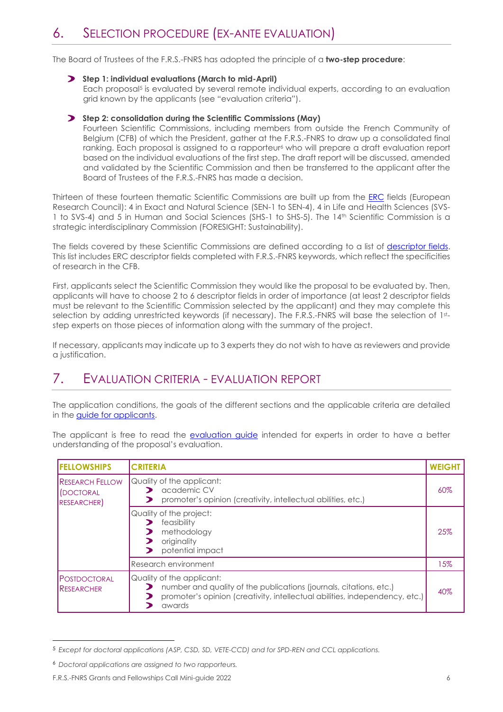## 6. SELECTION PROCEDURE (EX-ANTE EVALUATION)

The Board of Trustees of the F.R.S.-FNRS has adopted the principle of a **two-step procedure**:

**Step 1: individual evaluations (March to mid-April)** Each proposal<sup>5</sup> is evaluated by several remote individual experts, according to an evaluation grid known by the applicants (see "evaluation criteria").

#### **Step 2: consolidation during the Scientific Commissions (May)**

Fourteen Scientific Commissions, including members from outside the French Community of Belgium (CFB) of which the President, gather at the F.R.S.-FNRS to draw up a consolidated final ranking. Each proposal is assigned to a rapporteur<sup>6</sup> who will prepare a draft evaluation report based on the individual evaluations of the first step. The draft report will be discussed, amended and validated by the Scientific Commission and then be transferred to the applicant after the Board of Trustees of the F.R.S.-FNRS has made a decision.

Thirteen of these fourteen thematic Scientific Commissions are built up from the [ERC](http://erc.europa.eu/) fields (European Research Council): 4 in Exact and Natural Science (SEN-1 to SEN-4), 4 in Life and Health Sciences (SVS-1 to SVS-4) and 5 in Human and Social Sciences (SHS-1 to SHS-5). The 14<sup>th</sup> Scientific Commission is a strategic interdisciplinary Commission (FORESIGHT: Sustainability).

The fields covered by these Scientific Commissions are defined according to a list of [descriptor fields.](https://www.frs-fnrs.be/docs/Reglement-et-documents/FRS-FNRS_Champs_descripteurs.pdf) This list includes ERC descriptor fields completed with F.R.S.-FNRS keywords, which reflect the specificities of research in the CFB.

First, applicants select the Scientific Commission they would like the proposal to be evaluated by. Then, applicants will have to choose 2 to 6 descriptor fields in order of importance (at least 2 descriptor fields must be relevant to the Scientific Commission selected by the applicant) and they may complete this selection by adding unrestricted keywords (if necessary). The F.R.S.-FNRS will base the selection of 1ststep experts on those pieces of information along with the summary of the project.

If necessary, applicants may indicate up to 3 experts they do not wish to have as reviewers and provide a justification.

### 7. EVALUATION CRITERIA - EVALUATION REPORT

The application conditions, the goals of the different sections and the applicable criteria are detailed in the [guide for applicants.](https://www.frs-fnrs.be/docs/Reglement-et-documents/FRS-FNRS_Guide_proposant_2022_EN.pdf)

The applicant is free to read the [evaluation guide](https://www.frs-fnrs.be/docs/Reglement-et-documents/FRS-FNRS_Guide_Evaluation_EN.pdf) intended for experts in order to have a better understanding of the proposal's evaluation.

| <b>IFELLOWSHIPS</b>                                     | <b>CRITERIA</b>                                                                                                                                                                          | <b>WEIGHT</b> |
|---------------------------------------------------------|------------------------------------------------------------------------------------------------------------------------------------------------------------------------------------------|---------------|
| <b>RESEARCH FELLOW</b><br>DOCTORAL<br><b>RESEARCHER</b> | Quality of the applicant:<br>academic CV<br>promoter's opinion (creativity, intellectual abilities, etc.)                                                                                | 60%           |
|                                                         | Quality of the project:<br>feasibility<br>methodology<br>originality<br>potential impact                                                                                                 | 25%           |
|                                                         | <b>Research environment</b>                                                                                                                                                              | 15%           |
| <b>POSTDOCTORAL</b><br>RESEARCHER                       | Quality of the applicant:<br>number and quality of the publications (journals, citations, etc.)<br>promoter's opinion (creativity, intellectual abilities, independency, etc.)<br>awards | 40%           |

<sup>5</sup> *Except for doctoral applications (ASP, CSD, SD, VETE-CCD) and for SPD-REN and CCL applications.*

<sup>6</sup> *Doctoral applications are assigned to two rapporteurs.*

F.R.S.-FNRS Grants and Fellowships Call Mini-guide 2022 6